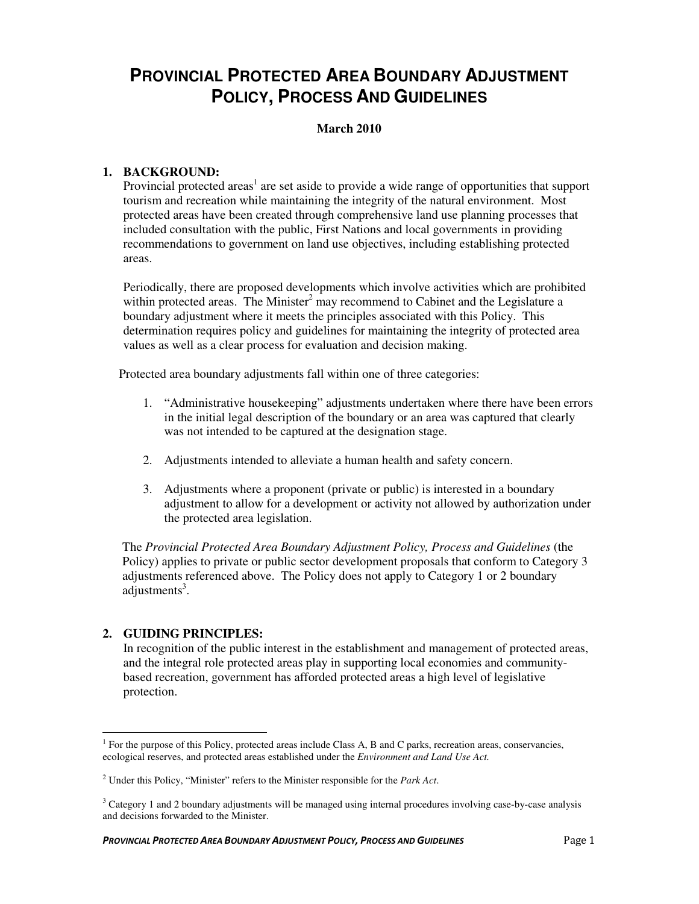# **PROVINCIAL PROTECTED AREA BOUNDARY ADJUSTMENT POLICY, PROCESS AND GUIDELINES**

# **March 2010**

# **1. BACKGROUND:**

Provincial protected areas<sup>1</sup> are set aside to provide a wide range of opportunities that support tourism and recreation while maintaining the integrity of the natural environment. Most protected areas have been created through comprehensive land use planning processes that included consultation with the public, First Nations and local governments in providing recommendations to government on land use objectives, including establishing protected areas.

Periodically, there are proposed developments which involve activities which are prohibited within protected areas. The Minister<sup>2</sup> may recommend to Cabinet and the Legislature a boundary adjustment where it meets the principles associated with this Policy. This determination requires policy and guidelines for maintaining the integrity of protected area values as well as a clear process for evaluation and decision making.

Protected area boundary adjustments fall within one of three categories:

- 1. "Administrative housekeeping" adjustments undertaken where there have been errors in the initial legal description of the boundary or an area was captured that clearly was not intended to be captured at the designation stage.
- 2. Adjustments intended to alleviate a human health and safety concern.
- 3. Adjustments where a proponent (private or public) is interested in a boundary adjustment to allow for a development or activity not allowed by authorization under the protected area legislation.

The *Provincial Protected Area Boundary Adjustment Policy, Process and Guidelines* (the Policy) applies to private or public sector development proposals that conform to Category 3 adjustments referenced above. The Policy does not apply to Category 1 or 2 boundary adjustments<sup>3</sup>.

#### **2. GUIDING PRINCIPLES:**

In recognition of the public interest in the establishment and management of protected areas, and the integral role protected areas play in supporting local economies and communitybased recreation, government has afforded protected areas a high level of legislative protection.

<sup>&</sup>lt;sup>1</sup> For the purpose of this Policy, protected areas include Class A, B and C parks, recreation areas, conservancies, ecological reserves, and protected areas established under the *Environment and Land Use Act.* 

<sup>2</sup> Under this Policy, "Minister" refers to the Minister responsible for the *Park Act*.

<sup>&</sup>lt;sup>3</sup> Category 1 and 2 boundary adjustments will be managed using internal procedures involving case-by-case analysis and decisions forwarded to the Minister.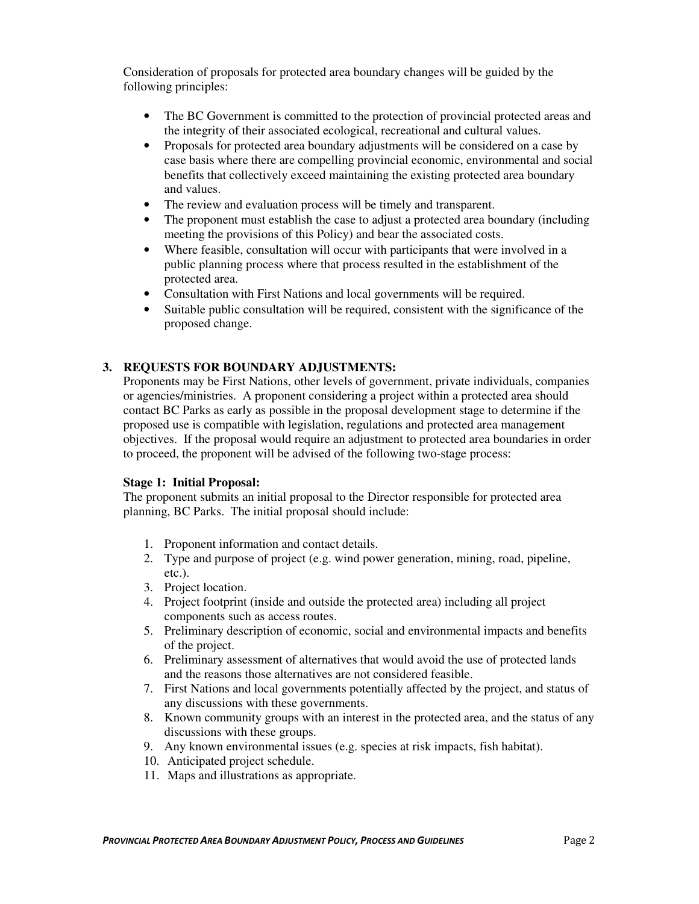Consideration of proposals for protected area boundary changes will be guided by the following principles:

- The BC Government is committed to the protection of provincial protected areas and the integrity of their associated ecological, recreational and cultural values.
- Proposals for protected area boundary adjustments will be considered on a case by case basis where there are compelling provincial economic, environmental and social benefits that collectively exceed maintaining the existing protected area boundary and values.
- The review and evaluation process will be timely and transparent.
- The proponent must establish the case to adjust a protected area boundary (including meeting the provisions of this Policy) and bear the associated costs.
- Where feasible, consultation will occur with participants that were involved in a public planning process where that process resulted in the establishment of the protected area.
- Consultation with First Nations and local governments will be required.
- Suitable public consultation will be required, consistent with the significance of the proposed change.

# **3. REQUESTS FOR BOUNDARY ADJUSTMENTS:**

Proponents may be First Nations, other levels of government, private individuals, companies or agencies/ministries. A proponent considering a project within a protected area should contact BC Parks as early as possible in the proposal development stage to determine if the proposed use is compatible with legislation, regulations and protected area management objectives. If the proposal would require an adjustment to protected area boundaries in order to proceed, the proponent will be advised of the following two-stage process:

#### **Stage 1: Initial Proposal:**

The proponent submits an initial proposal to the Director responsible for protected area planning, BC Parks. The initial proposal should include:

- 1. Proponent information and contact details.
- 2. Type and purpose of project (e.g. wind power generation, mining, road, pipeline, etc.).
- 3. Project location.
- 4. Project footprint (inside and outside the protected area) including all project components such as access routes.
- 5. Preliminary description of economic, social and environmental impacts and benefits of the project.
- 6. Preliminary assessment of alternatives that would avoid the use of protected lands and the reasons those alternatives are not considered feasible.
- 7. First Nations and local governments potentially affected by the project, and status of any discussions with these governments.
- 8. Known community groups with an interest in the protected area, and the status of any discussions with these groups.
- 9. Any known environmental issues (e.g. species at risk impacts, fish habitat).
- 10. Anticipated project schedule.
- 11. Maps and illustrations as appropriate.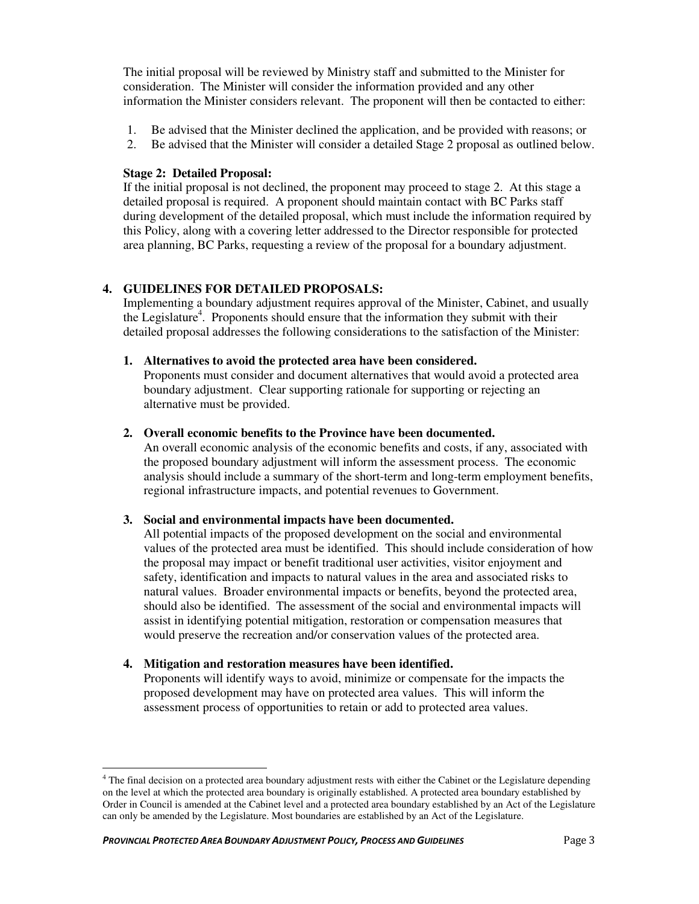The initial proposal will be reviewed by Ministry staff and submitted to the Minister for consideration. The Minister will consider the information provided and any other information the Minister considers relevant. The proponent will then be contacted to either:

- 1. Be advised that the Minister declined the application, and be provided with reasons; or
- 2. Be advised that the Minister will consider a detailed Stage 2 proposal as outlined below.

# **Stage 2: Detailed Proposal:**

If the initial proposal is not declined, the proponent may proceed to stage 2. At this stage a detailed proposal is required. A proponent should maintain contact with BC Parks staff during development of the detailed proposal, which must include the information required by this Policy, along with a covering letter addressed to the Director responsible for protected area planning, BC Parks, requesting a review of the proposal for a boundary adjustment.

# **4. GUIDELINES FOR DETAILED PROPOSALS:**

Implementing a boundary adjustment requires approval of the Minister, Cabinet, and usually the Legislature<sup>4</sup>. Proponents should ensure that the information they submit with their detailed proposal addresses the following considerations to the satisfaction of the Minister:

# **1. Alternatives to avoid the protected area have been considered.**

Proponents must consider and document alternatives that would avoid a protected area boundary adjustment. Clear supporting rationale for supporting or rejecting an alternative must be provided.

#### **2. Overall economic benefits to the Province have been documented.**

An overall economic analysis of the economic benefits and costs, if any, associated with the proposed boundary adjustment will inform the assessment process. The economic analysis should include a summary of the short-term and long-term employment benefits, regional infrastructure impacts, and potential revenues to Government.

#### **3. Social and environmental impacts have been documented.**

All potential impacts of the proposed development on the social and environmental values of the protected area must be identified. This should include consideration of how the proposal may impact or benefit traditional user activities, visitor enjoyment and safety, identification and impacts to natural values in the area and associated risks to natural values. Broader environmental impacts or benefits, beyond the protected area, should also be identified. The assessment of the social and environmental impacts will assist in identifying potential mitigation, restoration or compensation measures that would preserve the recreation and/or conservation values of the protected area.

# **4. Mitigation and restoration measures have been identified.**

Proponents will identify ways to avoid, minimize or compensate for the impacts the proposed development may have on protected area values. This will inform the assessment process of opportunities to retain or add to protected area values.

 4 The final decision on a protected area boundary adjustment rests with either the Cabinet or the Legislature depending on the level at which the protected area boundary is originally established. A protected area boundary established by Order in Council is amended at the Cabinet level and a protected area boundary established by an Act of the Legislature can only be amended by the Legislature. Most boundaries are established by an Act of the Legislature.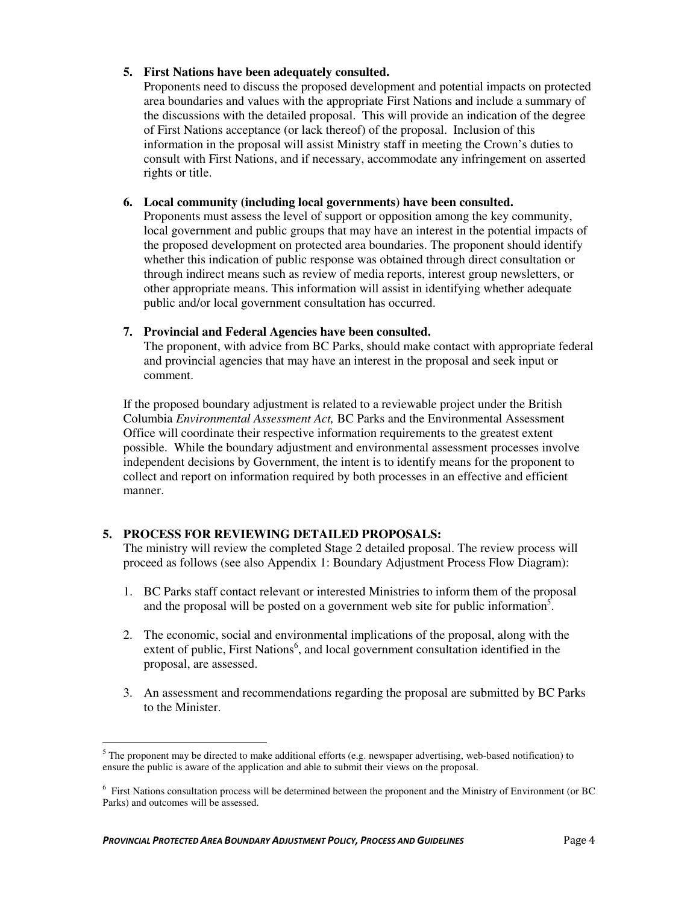#### **5. First Nations have been adequately consulted.**

Proponents need to discuss the proposed development and potential impacts on protected area boundaries and values with the appropriate First Nations and include a summary of the discussions with the detailed proposal. This will provide an indication of the degree of First Nations acceptance (or lack thereof) of the proposal. Inclusion of this information in the proposal will assist Ministry staff in meeting the Crown's duties to consult with First Nations, and if necessary, accommodate any infringement on asserted rights or title.

#### **6. Local community (including local governments) have been consulted.**

Proponents must assess the level of support or opposition among the key community, local government and public groups that may have an interest in the potential impacts of the proposed development on protected area boundaries. The proponent should identify whether this indication of public response was obtained through direct consultation or through indirect means such as review of media reports, interest group newsletters, or other appropriate means. This information will assist in identifying whether adequate public and/or local government consultation has occurred.

# **7. Provincial and Federal Agencies have been consulted.**

The proponent, with advice from BC Parks, should make contact with appropriate federal and provincial agencies that may have an interest in the proposal and seek input or comment.

If the proposed boundary adjustment is related to a reviewable project under the British Columbia *Environmental Assessment Act,* BC Parks and the Environmental Assessment Office will coordinate their respective information requirements to the greatest extent possible. While the boundary adjustment and environmental assessment processes involve independent decisions by Government, the intent is to identify means for the proponent to collect and report on information required by both processes in an effective and efficient manner.

# **5. PROCESS FOR REVIEWING DETAILED PROPOSALS:**

The ministry will review the completed Stage 2 detailed proposal. The review process will proceed as follows (see also Appendix 1: Boundary Adjustment Process Flow Diagram):

- 1. BC Parks staff contact relevant or interested Ministries to inform them of the proposal and the proposal will be posted on a government web site for public information<sup>5</sup>.
- 2. The economic, social and environmental implications of the proposal, along with the extent of public, First Nations<sup>6</sup>, and local government consultation identified in the proposal, are assessed.
- 3. An assessment and recommendations regarding the proposal are submitted by BC Parks to the Minister.

 $\overline{a}$  $5$  The proponent may be directed to make additional efforts (e.g. newspaper advertising, web-based notification) to ensure the public is aware of the application and able to submit their views on the proposal.

<sup>&</sup>lt;sup>6</sup> First Nations consultation process will be determined between the proponent and the Ministry of Environment (or BC Parks) and outcomes will be assessed.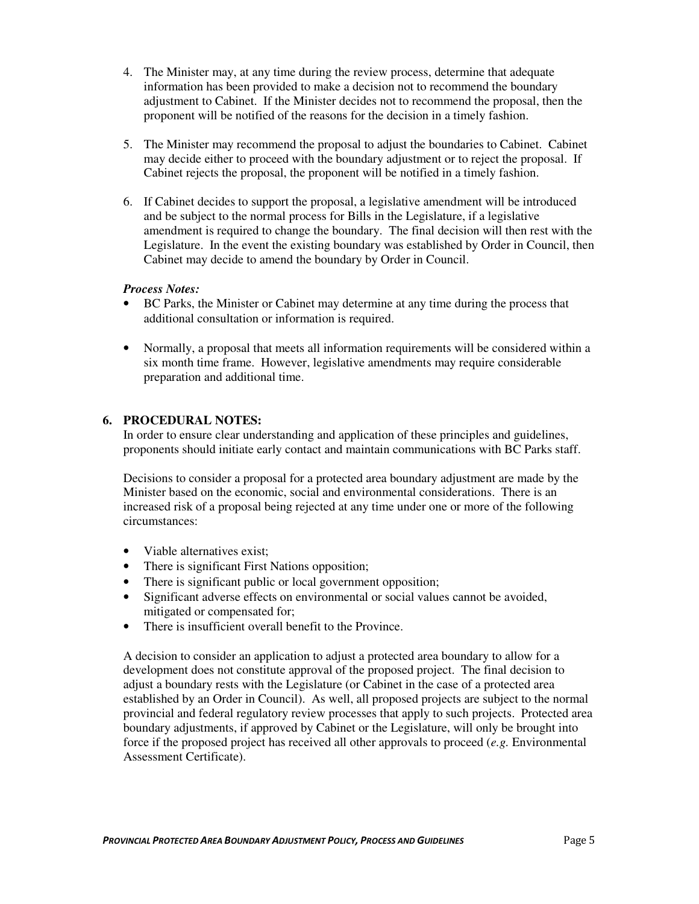- 4. The Minister may, at any time during the review process, determine that adequate information has been provided to make a decision not to recommend the boundary adjustment to Cabinet. If the Minister decides not to recommend the proposal, then the proponent will be notified of the reasons for the decision in a timely fashion.
- 5. The Minister may recommend the proposal to adjust the boundaries to Cabinet. Cabinet may decide either to proceed with the boundary adjustment or to reject the proposal. If Cabinet rejects the proposal, the proponent will be notified in a timely fashion.
- 6. If Cabinet decides to support the proposal, a legislative amendment will be introduced and be subject to the normal process for Bills in the Legislature, if a legislative amendment is required to change the boundary. The final decision will then rest with the Legislature. In the event the existing boundary was established by Order in Council, then Cabinet may decide to amend the boundary by Order in Council.

#### *Process Notes:*

- BC Parks, the Minister or Cabinet may determine at any time during the process that additional consultation or information is required.
- Normally, a proposal that meets all information requirements will be considered within a six month time frame. However, legislative amendments may require considerable preparation and additional time.

#### **6. PROCEDURAL NOTES:**

In order to ensure clear understanding and application of these principles and guidelines, proponents should initiate early contact and maintain communications with BC Parks staff.

Decisions to consider a proposal for a protected area boundary adjustment are made by the Minister based on the economic, social and environmental considerations. There is an increased risk of a proposal being rejected at any time under one or more of the following circumstances:

- Viable alternatives exist;
- There is significant First Nations opposition;
- There is significant public or local government opposition;
- Significant adverse effects on environmental or social values cannot be avoided, mitigated or compensated for;
- There is insufficient overall benefit to the Province.

A decision to consider an application to adjust a protected area boundary to allow for a development does not constitute approval of the proposed project. The final decision to adjust a boundary rests with the Legislature (or Cabinet in the case of a protected area established by an Order in Council). As well, all proposed projects are subject to the normal provincial and federal regulatory review processes that apply to such projects. Protected area boundary adjustments, if approved by Cabinet or the Legislature, will only be brought into force if the proposed project has received all other approvals to proceed (*e.g.* Environmental Assessment Certificate).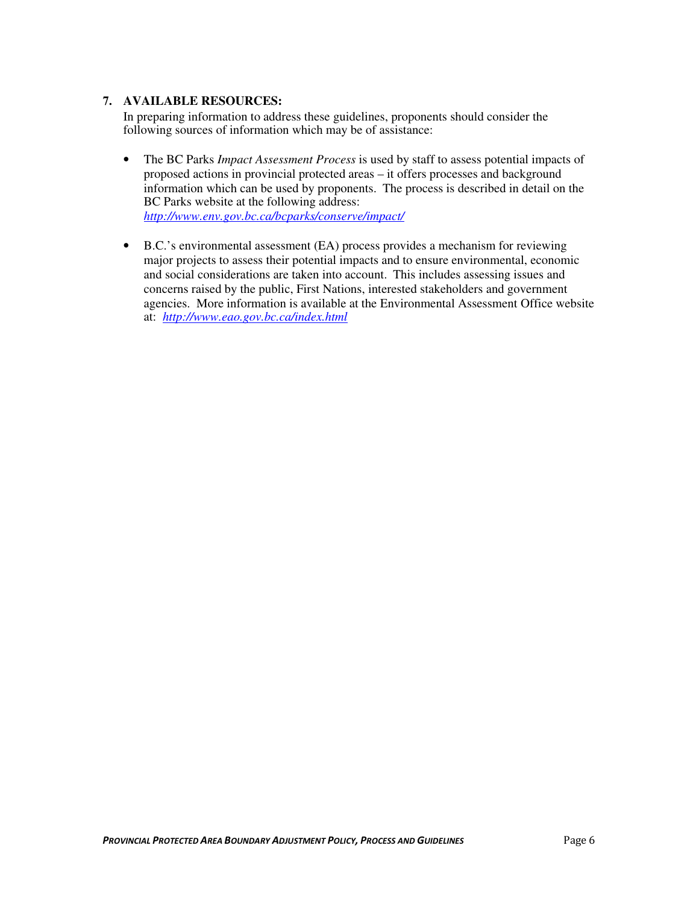# **7. AVAILABLE RESOURCES:**

In preparing information to address these guidelines, proponents should consider the following sources of information which may be of assistance:

- The BC Parks *Impact Assessment Process* is used by staff to assess potential impacts of proposed actions in provincial protected areas – it offers processes and background information which can be used by proponents. The process is described in detail on the BC Parks website at the following address: *http://www.env.gov.bc.ca/bcparks/conserve/impact/*
- B.C.'s environmental assessment (EA) process provides a mechanism for reviewing major projects to assess their potential impacts and to ensure environmental, economic and social considerations are taken into account. This includes assessing issues and concerns raised by the public, First Nations, interested stakeholders and government agencies. More information is available at the Environmental Assessment Office website at: *http://www.eao.gov.bc.ca/index.html*